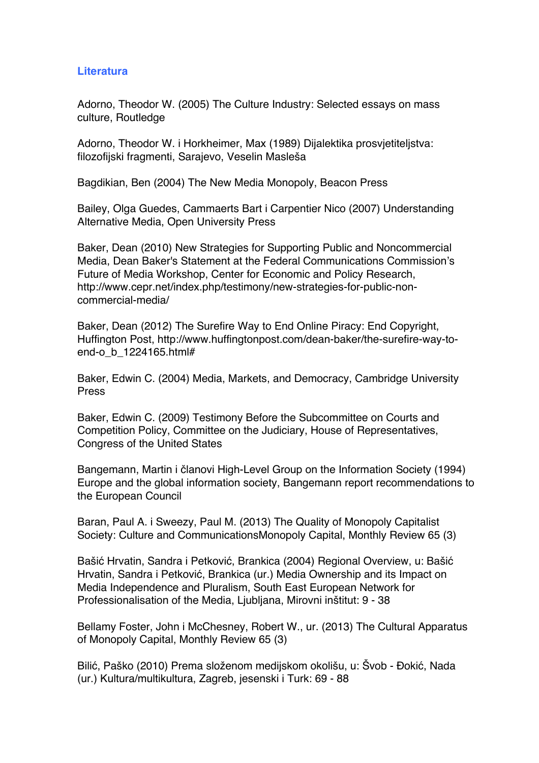## **Literatura**

Adorno, Theodor W. (2005) The Culture Industry: Selected essays on mass culture, Routledge

Adorno, Theodor W. i Horkheimer, Max (1989) Dijalektika prosvjetiteljstva: filozofijski fragmenti, Sarajevo, Veselin Masleša

Bagdikian, Ben (2004) The New Media Monopoly, Beacon Press

Bailey, Olga Guedes, Cammaerts Bart i Carpentier Nico (2007) Understanding Alternative Media, Open University Press

Baker, Dean (2010) New Strategies for Supporting Public and Noncommercial Media, Dean Baker's Statement at the Federal Communications Commission's Future of Media Workshop, Center for Economic and Policy Research, http://www.cepr.net/index.php/testimony/new-strategies-for-public-noncommercial-media/

Baker, Dean (2012) The Surefire Way to End Online Piracy: End Copyright, Huffington Post, http://www.huffingtonpost.com/dean-baker/the-surefire-way-toend-o b 1224165.html#

Baker, Edwin C. (2004) Media, Markets, and Democracy, Cambridge University Press

Baker, Edwin C. (2009) Testimony Before the Subcommittee on Courts and Competition Policy, Committee on the Judiciary, House of Representatives, Congress of the United States

Bangemann, Martin i članovi High-Level Group on the Information Society (1994) Europe and the global information society, Bangemann report recommendations to the European Council

Baran, Paul A. i Sweezy, Paul M. (2013) The Quality of Monopoly Capitalist Society: Culture and CommunicationsMonopoly Capital, Monthly Review 65 (3)

Bašić Hrvatin, Sandra i Petković, Brankica (2004) Regional Overview, u: Bašić Hrvatin, Sandra i Petković, Brankica (ur.) Media Ownership and its Impact on Media Independence and Pluralism, South East European Network for Professionalisation of the Media, Ljubljana, Mirovni inštitut: 9 - 38

Bellamy Foster, John i McChesney, Robert W., ur. (2013) The Cultural Apparatus of Monopoly Capital, Monthly Review 65 (3)

Bilić, Paško (2010) Prema složenom medijskom okolišu, u: Švob - Đokić, Nada (ur.) Kultura/multikultura, Zagreb, jesenski i Turk: 69 - 88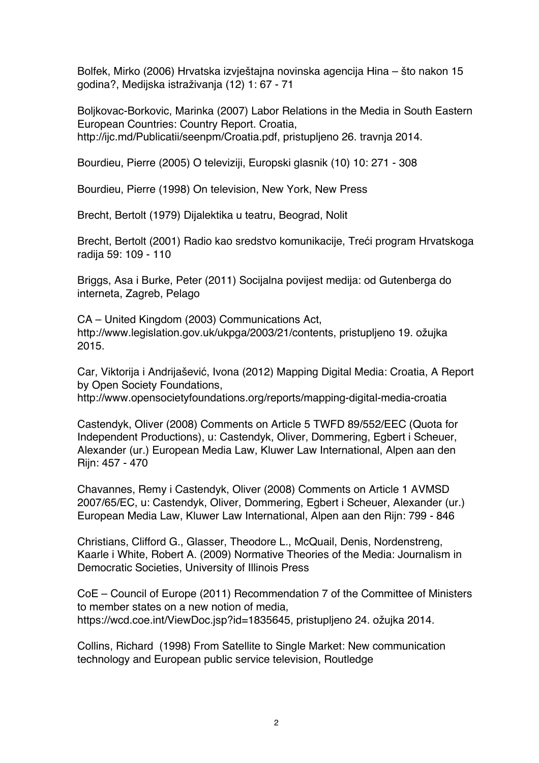Bolfek, Mirko (2006) Hrvatska izvještajna novinska agencija Hina – što nakon 15 godina?, Medijska istraživanja (12) 1: 67 - 71

Boljkovac-Borkovic, Marinka (2007) Labor Relations in the Media in South Eastern European Countries: Country Report. Croatia, http://ijc.md/Publicatii/seenpm/Croatia.pdf, pristupljeno 26. travnja 2014.

Bourdieu, Pierre (2005) O televiziji, Europski glasnik (10) 10: 271 - 308

Bourdieu, Pierre (1998) On television, New York, New Press

Brecht, Bertolt (1979) Dijalektika u teatru, Beograd, Nolit

Brecht, Bertolt (2001) Radio kao sredstvo komunikacije, Treći program Hrvatskoga radija 59: 109 - 110

Briggs, Asa i Burke, Peter (2011) Socijalna povijest medija: od Gutenberga do interneta, Zagreb, Pelago

CA – United Kingdom (2003) Communications Act, http://www.legislation.gov.uk/ukpga/2003/21/contents, pristupljeno 19. ožujka 2015.

Car, Viktorija i Andrijašević, Ivona (2012) Mapping Digital Media: Croatia, A Report by Open Society Foundations,

http://www.opensocietyfoundations.org/reports/mapping-digital-media-croatia

Castendyk, Oliver (2008) Comments on Article 5 TWFD 89/552/EEC (Quota for Independent Productions), u: Castendyk, Oliver, Dommering, Egbert i Scheuer, Alexander (ur.) European Media Law, Kluwer Law International, Alpen aan den Rijn: 457 - 470

Chavannes, Remy i Castendyk, Oliver (2008) Comments on Article 1 AVMSD 2007/65/EC, u: Castendyk, Oliver, Dommering, Egbert i Scheuer, Alexander (ur.) European Media Law, Kluwer Law International, Alpen aan den Rijn: 799 - 846

Christians, Clifford G., Glasser, Theodore L., McQuail, Denis, Nordenstreng, Kaarle i White, Robert A. (2009) Normative Theories of the Media: Journalism in Democratic Societies, University of Illinois Press

CoE – Council of Europe (2011) Recommendation 7 of the Committee of Ministers to member states on a new notion of media, https://wcd.coe.int/ViewDoc.jsp?id=1835645, pristupljeno 24. ožujka 2014.

Collins, Richard (1998) From Satellite to Single Market: New communication technology and European public service television, Routledge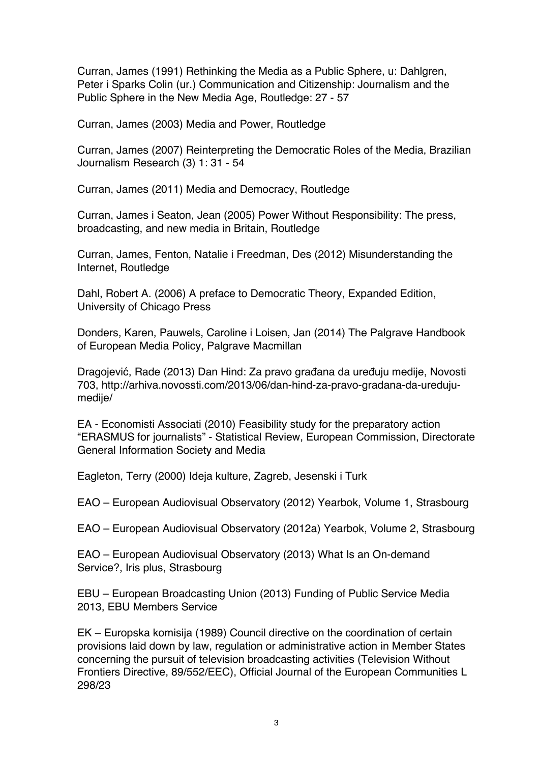Curran, James (1991) Rethinking the Media as a Public Sphere, u: Dahlgren, Peter i Sparks Colin (ur.) Communication and Citizenship: Journalism and the Public Sphere in the New Media Age, Routledge: 27 - 57

Curran, James (2003) Media and Power, Routledge

Curran, James (2007) Reinterpreting the Democratic Roles of the Media, Brazilian Journalism Research (3) 1: 31 - 54

Curran, James (2011) Media and Democracy, Routledge

Curran, James i Seaton, Jean (2005) Power Without Responsibility: The press, broadcasting, and new media in Britain, Routledge

Curran, James, Fenton, Natalie i Freedman, Des (2012) Misunderstanding the Internet, Routledge

Dahl, Robert A. (2006) A preface to Democratic Theory, Expanded Edition, University of Chicago Press

Donders, Karen, Pauwels, Caroline i Loisen, Jan (2014) The Palgrave Handbook of European Media Policy, Palgrave Macmillan

Dragojević, Rade (2013) Dan Hind: Za pravo građana da uređuju medije, Novosti 703, http://arhiva.novossti.com/2013/06/dan-hind-za-pravo-gradana-da-uredujumedije/

EA - Economisti Associati (2010) Feasibility study for the preparatory action "ERASMUS for journalists" - Statistical Review, European Commission, Directorate General Information Society and Media

Eagleton, Terry (2000) Ideja kulture, Zagreb, Jesenski i Turk

EAO – European Audiovisual Observatory (2012) Yearbok, Volume 1, Strasbourg

EAO – European Audiovisual Observatory (2012a) Yearbok, Volume 2, Strasbourg

EAO – European Audiovisual Observatory (2013) What Is an On-demand Service?, Iris plus, Strasbourg

EBU – European Broadcasting Union (2013) Funding of Public Service Media 2013, EBU Members Service

EK – Europska komisija (1989) Council directive on the coordination of certain provisions laid down by law, regulation or administrative action in Member States concerning the pursuit of television broadcasting activities (Television Without Frontiers Directive, 89/552/EEC), Official Journal of the European Communities L 298/23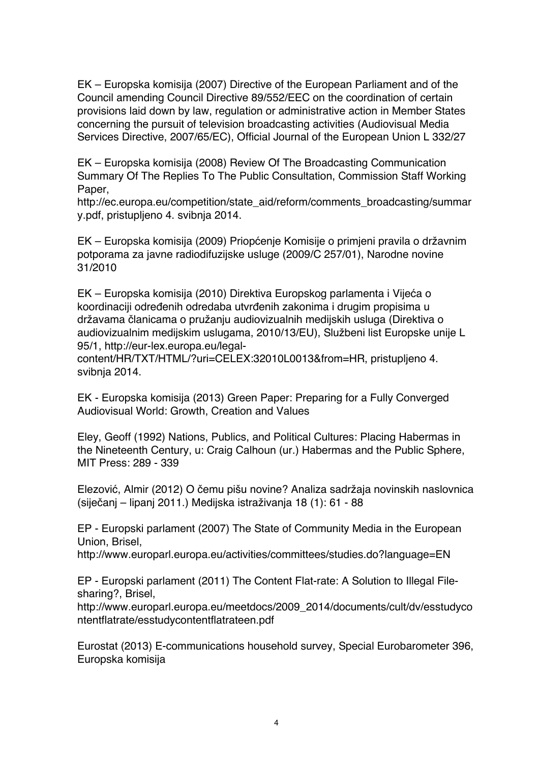EK – Europska komisija (2007) Directive of the European Parliament and of the Council amending Council Directive 89/552/EEC on the coordination of certain provisions laid down by law, regulation or administrative action in Member States concerning the pursuit of television broadcasting activities (Audiovisual Media Services Directive, 2007/65/EC), Official Journal of the European Union L 332/27

EK – Europska komisija (2008) Review Of The Broadcasting Communication Summary Of The Replies To The Public Consultation, Commission Staff Working Paper,

http://ec.europa.eu/competition/state\_aid/reform/comments\_broadcasting/summar y.pdf, pristupljeno 4. svibnja 2014.

EK – Europska komisija (2009) Priopćenje Komisije o primjeni pravila o državnim potporama za javne radiodifuzijske usluge (2009/C 257/01), Narodne novine 31/2010

EK – Europska komisija (2010) Direktiva Europskog parlamenta i Vijeća o koordinaciji određenih odredaba utvrđenih zakonima i drugim propisima u državama članicama o pružanju audiovizualnih medijskih usluga (Direktiva o audiovizualnim medijskim uslugama, 2010/13/EU), Službeni list Europske unije L 95/1, http://eur-lex.europa.eu/legal-

content/HR/TXT/HTML/?uri=CELEX:32010L0013&from=HR, pristupljeno 4. svibnja 2014.

EK - Europska komisija (2013) Green Paper: Preparing for a Fully Converged Audiovisual World: Growth, Creation and Values

Eley, Geoff (1992) Nations, Publics, and Political Cultures: Placing Habermas in the Nineteenth Century, u: Craig Calhoun (ur.) Habermas and the Public Sphere, MIT Press: 289 - 339

Elezović, Almir (2012) O čemu pišu novine? Analiza sadržaja novinskih naslovnica (siječanj – lipanj 2011.) Medijska istraživanja 18 (1): 61 - 88

EP - Europski parlament (2007) The State of Community Media in the European Union, Brisel,

http://www.europarl.europa.eu/activities/committees/studies.do?language=EN

EP - Europski parlament (2011) The Content Flat-rate: A Solution to Illegal Filesharing?, Brisel,

http://www.europarl.europa.eu/meetdocs/2009\_2014/documents/cult/dv/esstudyco ntentflatrate/esstudycontentflatrateen.pdf

Eurostat (2013) E-communications household survey, Special Eurobarometer 396, Europska komisija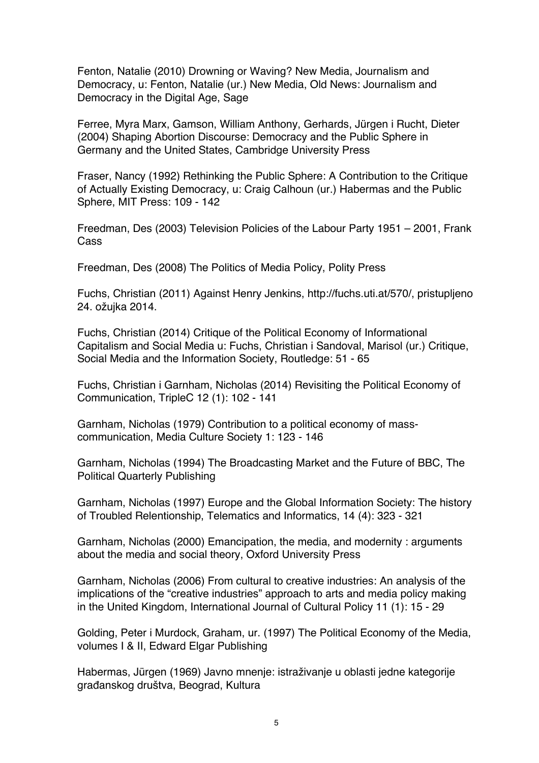Fenton, Natalie (2010) Drowning or Waving? New Media, Journalism and Democracy, u: Fenton, Natalie (ur.) New Media, Old News: Journalism and Democracy in the Digital Age, Sage

Ferree, Myra Marx, Gamson, William Anthony, Gerhards, Jürgen i Rucht, Dieter (2004) Shaping Abortion Discourse: Democracy and the Public Sphere in Germany and the United States, Cambridge University Press

Fraser, Nancy (1992) Rethinking the Public Sphere: A Contribution to the Critique of Actually Existing Democracy, u: Craig Calhoun (ur.) Habermas and the Public Sphere, MIT Press: 109 - 142

Freedman, Des (2003) Television Policies of the Labour Party 1951 – 2001, Frank Cass

Freedman, Des (2008) The Politics of Media Policy, Polity Press

Fuchs, Christian (2011) Against Henry Jenkins, http://fuchs.uti.at/570/, pristupljeno 24. ožujka 2014.

Fuchs, Christian (2014) Critique of the Political Economy of Informational Capitalism and Social Media u: Fuchs, Christian i Sandoval, Marisol (ur.) Critique, Social Media and the Information Society, Routledge: 51 - 65

Fuchs, Christian i Garnham, Nicholas (2014) Revisiting the Political Economy of Communication, TripleC 12 (1): 102 - 141

Garnham, Nicholas (1979) Contribution to a political economy of masscommunication, Media Culture Society 1: 123 - 146

Garnham, Nicholas (1994) The Broadcasting Market and the Future of BBC, The Political Quarterly Publishing

Garnham, Nicholas (1997) Europe and the Global Information Society: The history of Troubled Relentionship, Telematics and Informatics, 14 (4): 323 - 321

Garnham, Nicholas (2000) Emancipation, the media, and modernity : arguments about the media and social theory, Oxford University Press

Garnham, Nicholas (2006) From cultural to creative industries: An analysis of the implications of the "creative industries" approach to arts and media policy making in the United Kingdom, International Journal of Cultural Policy 11 (1): 15 - 29

Golding, Peter i Murdock, Graham, ur. (1997) The Political Economy of the Media, volumes I & II, Edward Elgar Publishing

Habermas, Jürgen (1969) Javno mnenje: istraživanje u oblasti jedne kategorije građanskog društva, Beograd, Kultura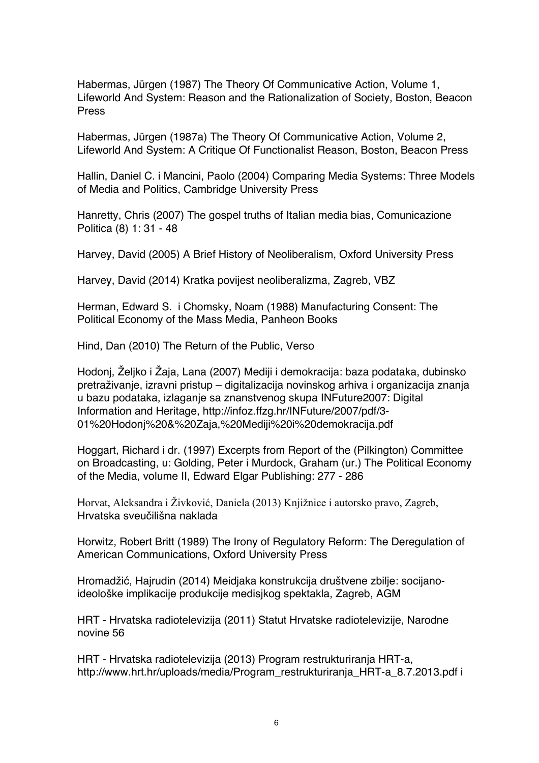Habermas, Jürgen (1987) The Theory Of Communicative Action, Volume 1, Lifeworld And System: Reason and the Rationalization of Society, Boston, Beacon Press

Habermas, Jürgen (1987a) The Theory Of Communicative Action, Volume 2, Lifeworld And System: A Critique Of Functionalist Reason, Boston, Beacon Press

Hallin, Daniel C. i Mancini, Paolo (2004) Comparing Media Systems: Three Models of Media and Politics, Cambridge University Press

Hanretty, Chris (2007) The gospel truths of Italian media bias, Comunicazione Politica (8) 1: 31 - 48

Harvey, David (2005) A Brief History of Neoliberalism, Oxford University Press

Harvey, David (2014) Kratka povijest neoliberalizma, Zagreb, VBZ

Herman, Edward S. i Chomsky, Noam (1988) Manufacturing Consent: The Political Economy of the Mass Media, Panheon Books

Hind, Dan (2010) The Return of the Public, Verso

Hodonj, Željko i Žaja, Lana (2007) Mediji i demokracija: baza podataka, dubinsko pretraživanje, izravni pristup – digitalizacija novinskog arhiva i organizacija znanja u bazu podataka, izlaganje sa znanstvenog skupa INFuture2007: Digital Information and Heritage, http://infoz.ffzg.hr/INFuture/2007/pdf/3- 01%20Hodonj%20&%20Zaja,%20Mediji%20i%20demokracija.pdf

Hoggart, Richard i dr. (1997) Excerpts from Report of the (Pilkington) Committee on Broadcasting, u: Golding, Peter i Murdock, Graham (ur.) The Political Economy of the Media, volume II, Edward Elgar Publishing: 277 - 286

Horvat, Aleksandra i Živković, Daniela (2013) Knjižnice i autorsko pravo, Zagreb, Hrvatska sveučilišna naklada

Horwitz, Robert Britt (1989) The Irony of Regulatory Reform: The Deregulation of American Communications, Oxford University Press

Hromadžić, Hajrudin (2014) Meidjaka konstrukcija društvene zbilje: socijanoideološke implikacije produkcije medisjkog spektakla, Zagreb, AGM

HRT - Hrvatska radiotelevizija (2011) Statut Hrvatske radiotelevizije, Narodne novine 56

HRT - Hrvatska radiotelevizija (2013) Program restrukturiranja HRT-a, http://www.hrt.hr/uploads/media/Program\_restrukturiranja\_HRT-a\_8.7.2013.pdf i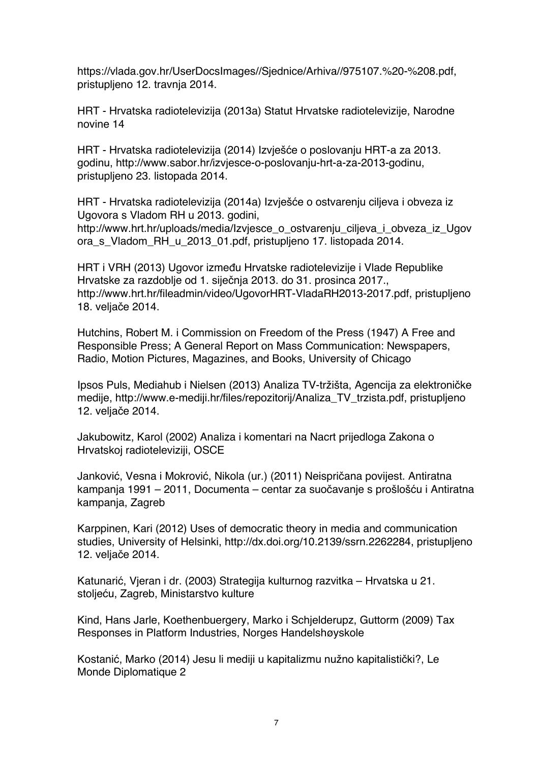https://vlada.gov.hr/UserDocsImages//Sjednice/Arhiva//975107.%20-%208.pdf, pristupljeno 12. travnja 2014.

HRT - Hrvatska radiotelevizija (2013a) Statut Hrvatske radiotelevizije, Narodne novine 14

HRT - Hrvatska radiotelevizija (2014) Izvješće o poslovanju HRT-a za 2013. godinu, http://www.sabor.hr/izvjesce-o-poslovanju-hrt-a-za-2013-godinu, pristupljeno 23. listopada 2014.

HRT - Hrvatska radiotelevizija (2014a) Izvješće o ostvarenju ciljeva i obveza iz Ugovora s Vladom RH u 2013. godini,

http://www.hrt.hr/uploads/media/Izvjesce\_o\_ostvarenju\_ciljeva\_i\_obveza\_iz\_Ugov ora\_s\_Vladom\_RH\_u\_2013\_01.pdf, pristupljeno 17. listopada 2014.

HRT i VRH (2013) Ugovor između Hrvatske radiotelevizije i Vlade Republike Hrvatske za razdoblje od 1. siječnja 2013. do 31. prosinca 2017., http://www.hrt.hr/fileadmin/video/UgovorHRT-VladaRH2013-2017.pdf, pristupljeno 18. veljače 2014.

Hutchins, Robert M. i Commission on Freedom of the Press (1947) A Free and Responsible Press; A General Report on Mass Communication: Newspapers, Radio, Motion Pictures, Magazines, and Books, University of Chicago

Ipsos Puls, Mediahub i Nielsen (2013) Analiza TV-tržišta, Agencija za elektroničke medije, http://www.e-mediji.hr/files/repozitorij/Analiza\_TV\_trzista.pdf, pristupljeno 12. veljače 2014.

Jakubowitz, Karol (2002) Analiza i komentari na Nacrt prijedloga Zakona o Hrvatskoj radioteleviziji, OSCE

Janković, Vesna i Mokrović, Nikola (ur.) (2011) Neispričana povijest. Antiratna kampanja 1991 – 2011, Documenta – centar za suočavanje s prošlošću i Antiratna kampanja, Zagreb

Karppinen, Kari (2012) Uses of democratic theory in media and communication studies, University of Helsinki, http://dx.doi.org/10.2139/ssrn.2262284, pristupljeno 12. veljače 2014.

Katunarić, Vjeran i dr. (2003) Strategija kulturnog razvitka – Hrvatska u 21. stoljeću, Zagreb, Ministarstvo kulture

Kind, Hans Jarle, Koethenbuergery, Marko i Schjelderupz, Guttorm (2009) Tax Responses in Platform Industries, Norges Handelshøyskole

Kostanić, Marko (2014) Jesu li mediji u kapitalizmu nužno kapitalistički?, Le Monde Diplomatique 2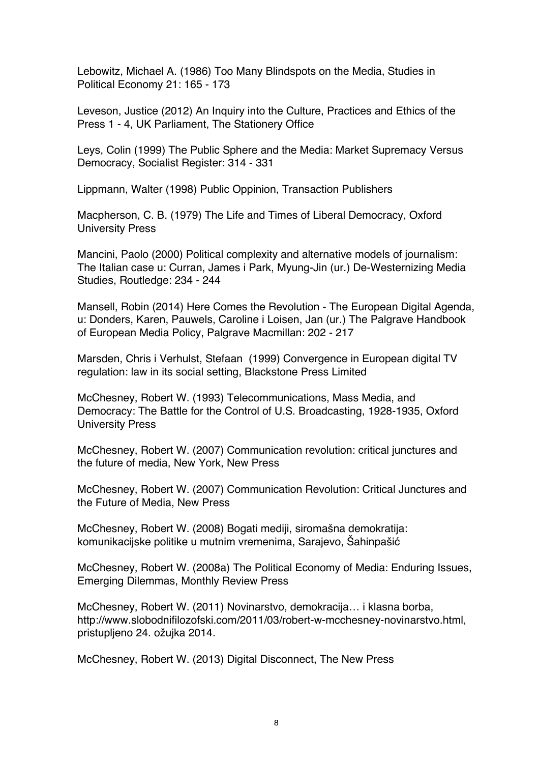Lebowitz, Michael A. (1986) Too Many Blindspots on the Media, Studies in Political Economy 21: 165 - 173

Leveson, Justice (2012) An Inquiry into the Culture, Practices and Ethics of the Press 1 - 4, UK Parliament, The Stationery Office

Leys, Colin (1999) The Public Sphere and the Media: Market Supremacy Versus Democracy, Socialist Register: 314 - 331

Lippmann, Walter (1998) Public Oppinion, Transaction Publishers

Macpherson, C. B. (1979) The Life and Times of Liberal Democracy, Oxford University Press

Mancini, Paolo (2000) Political complexity and alternative models of journalism: The Italian case u: Curran, James i Park, Myung-Jin (ur.) De-Westernizing Media Studies, Routledge: 234 - 244

Mansell, Robin (2014) Here Comes the Revolution - The European Digital Agenda, u: Donders, Karen, Pauwels, Caroline i Loisen, Jan (ur.) The Palgrave Handbook of European Media Policy, Palgrave Macmillan: 202 - 217

Marsden, Chris i Verhulst, Stefaan (1999) Convergence in European digital TV regulation: law in its social setting, Blackstone Press Limited

McChesney, Robert W. (1993) Telecommunications, Mass Media, and Democracy: The Battle for the Control of U.S. Broadcasting, 1928-1935, Oxford University Press

McChesney, Robert W. (2007) Communication revolution: critical junctures and the future of media, New York, New Press

McChesney, Robert W. (2007) Communication Revolution: Critical Junctures and the Future of Media, New Press

McChesney, Robert W. (2008) Bogati mediji, siromašna demokratija: komunikacijske politike u mutnim vremenima, Sarajevo, Šahinpašić

McChesney, Robert W. (2008a) The Political Economy of Media: Enduring Issues, Emerging Dilemmas, Monthly Review Press

McChesney, Robert W. (2011) Novinarstvo, demokracija… i klasna borba, http://www.slobodnifilozofski.com/2011/03/robert-w-mcchesney-novinarstvo.html, pristupljeno 24. ožujka 2014.

McChesney, Robert W. (2013) Digital Disconnect, The New Press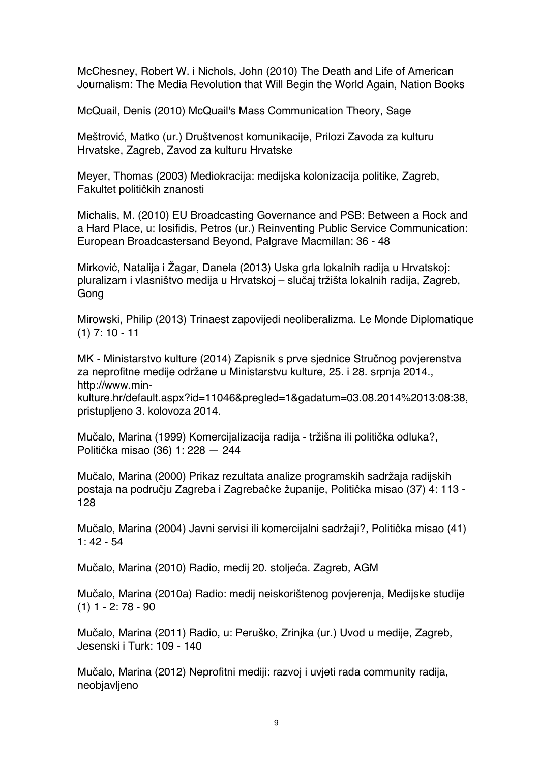McChesney, Robert W. i Nichols, John (2010) The Death and Life of American Journalism: The Media Revolution that Will Begin the World Again, Nation Books

McQuail, Denis (2010) McQuail's Mass Communication Theory, Sage

Meštrović, Matko (ur.) Društvenost komunikacije, Prilozi Zavoda za kulturu Hrvatske, Zagreb, Zavod za kulturu Hrvatske

Meyer, Thomas (2003) Mediokracija: medijska kolonizacija politike, Zagreb, Fakultet političkih znanosti

Michalis, M. (2010) EU Broadcasting Governance and PSB: Between a Rock and a Hard Place, u: Iosifidis, Petros (ur.) Reinventing Public Service Communication: European Broadcastersand Beyond, Palgrave Macmillan: 36 - 48

Mirković, Natalija i Žagar, Danela (2013) Uska grla lokalnih radija u Hrvatskoj: pluralizam i vlasništvo medija u Hrvatskoj – slučaj tržišta lokalnih radija, Zagreb, **Gong** 

Mirowski, Philip (2013) Trinaest zapovijedi neoliberalizma. Le Monde Diplomatique (1) 7: 10 - 11

MK - Ministarstvo kulture (2014) Zapisnik s prve sjednice Stručnog povjerenstva za neprofitne medije održane u Ministarstvu kulture, 25. i 28. srpnja 2014., http://www.min-

kulture.hr/default.aspx?id=11046&pregled=1&gadatum=03.08.2014%2013:08:38, pristupljeno 3. kolovoza 2014.

Mučalo, Marina (1999) Komercijalizacija radija - tržišna ili politička odluka?, Politička misao (36) 1: 228 — 244

Mučalo, Marina (2000) Prikaz rezultata analize programskih sadržaja radijskih postaja na području Zagreba i Zagrebačke županije, Politička misao (37) 4: 113 - 128

Mučalo, Marina (2004) Javni servisi ili komercijalni sadržaji?, Politička misao (41)  $1: 42 - 54$ 

Mučalo, Marina (2010) Radio, medij 20. stoljeća. Zagreb, AGM

Mučalo, Marina (2010a) Radio: medij neiskorištenog povjerenja, Medijske studije  $(1)$  1 - 2: 78 - 90

Mučalo, Marina (2011) Radio, u: Peruško, Zrinjka (ur.) Uvod u medije, Zagreb, Jesenski i Turk: 109 - 140

Mučalo, Marina (2012) Neprofitni mediji: razvoj i uvjeti rada community radija, neobjavljeno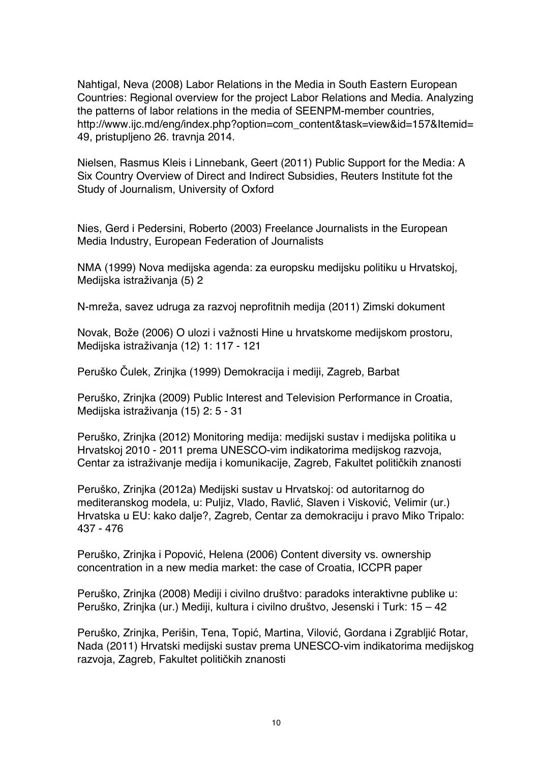Nahtigal, Neva (2008) Labor Relations in the Media in South Eastern European Countries: Regional overview for the project Labor Relations and Media. Analyzing the patterns of labor relations in the media of SEENPM-member countries, http://www.ijc.md/eng/index.php?option=com\_content&task=view&id=157&Itemid= 49, pristupljeno 26. travnja 2014.

Nielsen, Rasmus Kleis i Linnebank, Geert (2011) Public Support for the Media: A Six Country Overview of Direct and Indirect Subsidies, Reuters Institute fot the Study of Journalism, University of Oxford

Nies, Gerd i Pedersini, Roberto (2003) Freelance Journalists in the European Media Industry, European Federation of Journalists

NMA (1999) Nova medijska agenda: za europsku medijsku politiku u Hrvatskoj, Medijska istraživanja (5) 2

N-mreža, savez udruga za razvoj neprofitnih medija (2011) Zimski dokument

Novak, Bože (2006) O ulozi i važnosti Hine u hrvatskome medijskom prostoru, Medijska istraživanja (12) 1: 117 - 121

Peruško Čulek, Zrinjka (1999) Demokracija i mediji, Zagreb, Barbat

Peruško, Zrinjka (2009) Public Interest and Television Performance in Croatia, Medijska istraživanja (15) 2: 5 - 31

Peruško, Zrinjka (2012) Monitoring medija: medijski sustav i medijska politika u Hrvatskoj 2010 - 2011 prema UNESCO-vim indikatorima medijskog razvoja, Centar za istraživanje medija i komunikacije, Zagreb, Fakultet političkih znanosti

Peruško, Zrinjka (2012a) Medijski sustav u Hrvatskoj: od autoritarnog do mediteranskog modela, u: Puljiz, Vlado, Ravlić, Slaven i Visković, Velimir (ur.) Hrvatska u EU: kako dalje?, Zagreb, Centar za demokraciju i pravo Miko Tripalo: 437 - 476

Peruško, Zrinjka i Popović, Helena (2006) Content diversity vs. ownership concentration in a new media market: the case of Croatia, ICCPR paper

Peruško, Zrinjka (2008) Mediji i civilno društvo: paradoks interaktivne publike u: Peruško, Zrinjka (ur.) Mediji, kultura i civilno društvo, Jesenski i Turk: 15 – 42

Peruško, Zrinjka, Perišin, Tena, Topić, Martina, Vilović, Gordana i Zgrabljić Rotar, Nada (2011) Hrvatski medijski sustav prema UNESCO-vim indikatorima medijskog razvoja, Zagreb, Fakultet političkih znanosti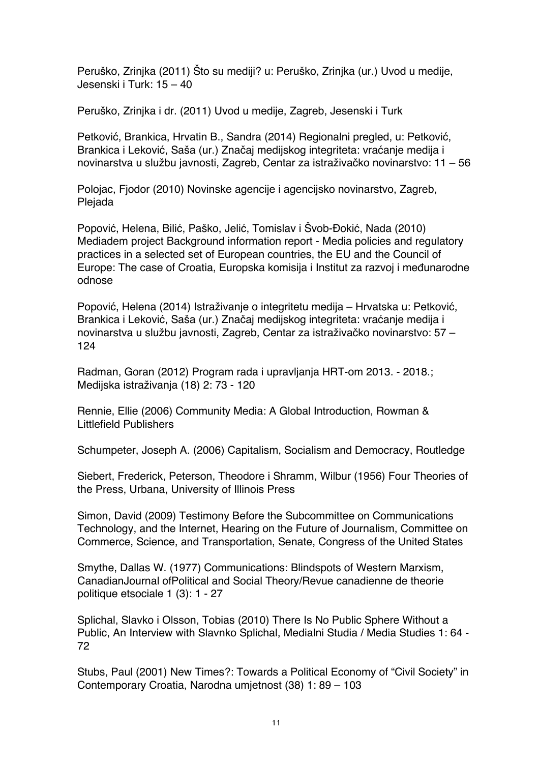Peruško, Zrinjka (2011) Što su mediji? u: Peruško, Zrinjka (ur.) Uvod u medije, Jesenski i Turk: 15 – 40

Peruško, Zrinjka i dr. (2011) Uvod u medije, Zagreb, Jesenski i Turk

Petković, Brankica, Hrvatin B., Sandra (2014) Regionalni pregled, u: Petković, Brankica i Leković, Saša (ur.) Značaj medijskog integriteta: vraćanje medija i novinarstva u službu javnosti, Zagreb, Centar za istraživačko novinarstvo: 11 – 56

Polojac, Fjodor (2010) Novinske agencije i agencijsko novinarstvo, Zagreb, Plejada

Popović, Helena, Bilić, Paško, Jelić, Tomislav i Švob-Đokić, Nada (2010) Mediadem project Background information report - Media policies and regulatory practices in a selected set of European countries, the EU and the Council of Europe: The case of Croatia, Europska komisija i Institut za razvoj i međunarodne odnose

Popović, Helena (2014) Istraživanje o integritetu medija – Hrvatska u: Petković, Brankica i Leković, Saša (ur.) Značaj medijskog integriteta: vraćanje medija i novinarstva u službu javnosti, Zagreb, Centar za istraživačko novinarstvo: 57 – 124

Radman, Goran (2012) Program rada i upravljanja HRT-om 2013. - 2018.; Medijska istraživanja (18) 2: 73 - 120

Rennie, Ellie (2006) Community Media: A Global Introduction, Rowman & Littlefield Publishers

Schumpeter, Joseph A. (2006) Capitalism, Socialism and Democracy, Routledge

Siebert, Frederick, Peterson, Theodore i Shramm, Wilbur (1956) Four Theories of the Press, Urbana, University of Illinois Press

Simon, David (2009) Testimony Before the Subcommittee on Communications Technology, and the Internet, Hearing on the Future of Journalism, Committee on Commerce, Science, and Transportation, Senate, Congress of the United States

Smythe, Dallas W. (1977) Communications: Blindspots of Western Marxism, CanadianJournal ofPolitical and Social Theory/Revue canadienne de theorie politique etsociale 1 (3): 1 - 27

Splichal, Slavko i Olsson, Tobias (2010) There Is No Public Sphere Without a Public, An Interview with Slavnko Splichal, Medialni Studia / Media Studies 1: 64 - 72

Stubs, Paul (2001) New Times?: Towards a Political Economy of "Civil Society" in Contemporary Croatia, Narodna umjetnost (38) 1: 89 – 103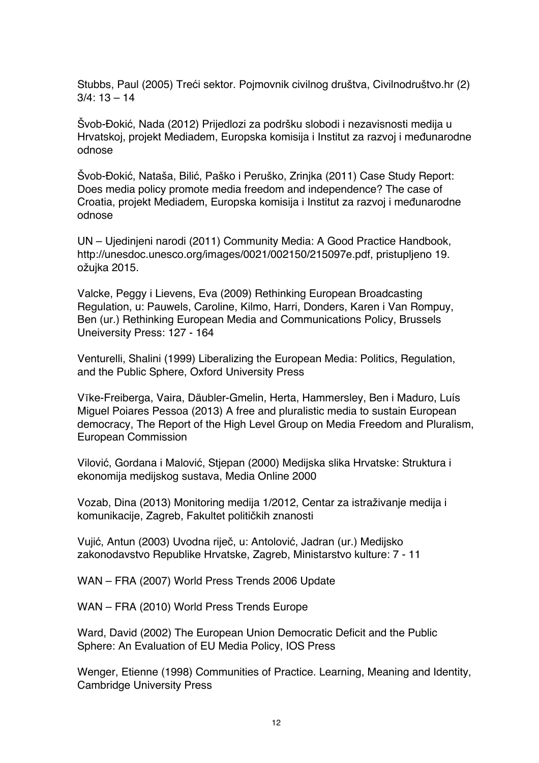Stubbs, Paul (2005) Treći sektor. Pojmovnik civilnog društva, Civilnodruštvo.hr (2)  $3/4$ :  $13 - 14$ 

Švob-Đokić, Nada (2012) Prijedlozi za podršku slobodi i nezavisnosti medija u Hrvatskoj, projekt Mediadem, Europska komisija i Institut za razvoj i međunarodne odnose

Švob-Đokić, Nataša, Bilić, Paško i Peruško, Zrinjka (2011) Case Study Report: Does media policy promote media freedom and independence? The case of Croatia, projekt Mediadem, Europska komisija i Institut za razvoj i međunarodne odnose

UN – Ujedinjeni narodi (2011) Community Media: A Good Practice Handbook, http://unesdoc.unesco.org/images/0021/002150/215097e.pdf, pristupljeno 19. ožujka 2015.

Valcke, Peggy i Lievens, Eva (2009) Rethinking European Broadcasting Regulation, u: Pauwels, Caroline, Kilmo, Harri, Donders, Karen i Van Rompuy, Ben (ur.) Rethinking European Media and Communications Policy, Brussels Uneiversity Press: 127 - 164

Venturelli, Shalini (1999) Liberalizing the European Media: Politics, Regulation, and the Public Sphere, Oxford University Press

Vīke-Freiberga, Vaira, Däubler‐Gmelin, Herta, Hammersley, Ben i Maduro, Luís Miguel Poiares Pessoa (2013) A free and pluralistic media to sustain European democracy, The Report of the High Level Group on Media Freedom and Pluralism, European Commission

Vilović, Gordana i Malović, Stjepan (2000) Medijska slika Hrvatske: Struktura i ekonomija medijskog sustava, Media Online 2000

Vozab, Dina (2013) Monitoring medija 1/2012, Centar za istraživanje medija i komunikacije, Zagreb, Fakultet političkih znanosti

Vujić, Antun (2003) Uvodna riječ, u: Antolović, Jadran (ur.) Medijsko zakonodavstvo Republike Hrvatske, Zagreb, Ministarstvo kulture: 7 - 11

WAN – FRA (2007) World Press Trends 2006 Update

WAN – FRA (2010) World Press Trends Europe

Ward, David (2002) The European Union Democratic Deficit and the Public Sphere: An Evaluation of EU Media Policy, IOS Press

Wenger, Etienne (1998) Communities of Practice. Learning, Meaning and Identity, Cambridge University Press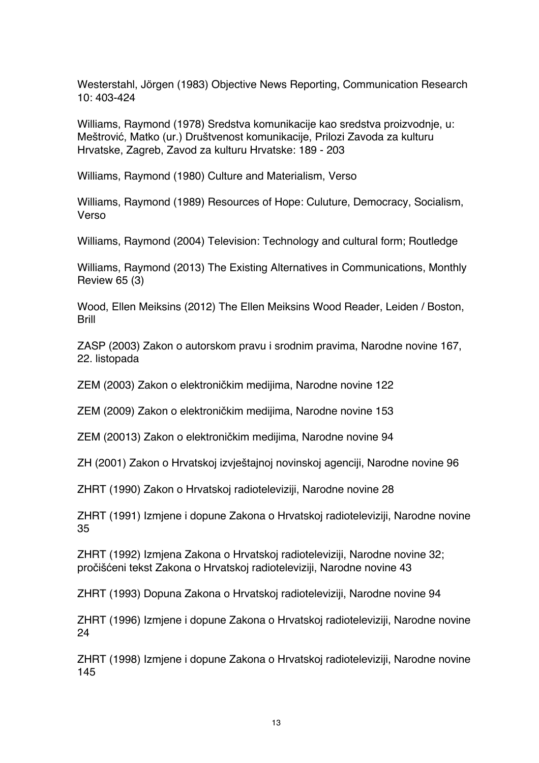Westerstahl, Jörgen (1983) Objective News Reporting, Communication Research 10: 403-424

Williams, Raymond (1978) Sredstva komunikacije kao sredstva proizvodnje, u: Meštrović, Matko (ur.) Društvenost komunikacije, Prilozi Zavoda za kulturu Hrvatske, Zagreb, Zavod za kulturu Hrvatske: 189 - 203

Williams, Raymond (1980) Culture and Materialism, Verso

Williams, Raymond (1989) Resources of Hope: Culuture, Democracy, Socialism, Verso

Williams, Raymond (2004) Television: Technology and cultural form; Routledge

Williams, Raymond (2013) The Existing Alternatives in Communications, Monthly Review 65 (3)

Wood, Ellen Meiksins (2012) The Ellen Meiksins Wood Reader, Leiden / Boston, Brill

ZASP (2003) Zakon o autorskom pravu i srodnim pravima, Narodne novine 167, 22. listopada

ZEM (2003) Zakon o elektroničkim medijima, Narodne novine 122

ZEM (2009) Zakon o elektroničkim medijima, Narodne novine 153

ZEM (20013) Zakon o elektroničkim medijima, Narodne novine 94

ZH (2001) Zakon o Hrvatskoj izvještajnoj novinskoj agenciji, Narodne novine 96

ZHRT (1990) Zakon o Hrvatskoj radioteleviziji, Narodne novine 28

ZHRT (1991) Izmjene i dopune Zakona o Hrvatskoj radioteleviziji, Narodne novine 35

ZHRT (1992) Izmjena Zakona o Hrvatskoj radioteleviziji, Narodne novine 32; pročišćeni tekst Zakona o Hrvatskoj radioteleviziji, Narodne novine 43

ZHRT (1993) Dopuna Zakona o Hrvatskoj radioteleviziji, Narodne novine 94

ZHRT (1996) Izmjene i dopune Zakona o Hrvatskoj radioteleviziji, Narodne novine 24

ZHRT (1998) Izmjene i dopune Zakona o Hrvatskoj radioteleviziji, Narodne novine 145